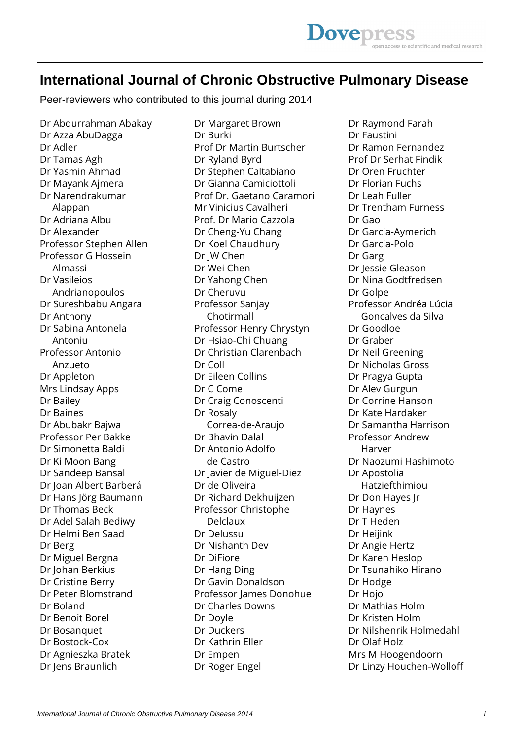## **International Journal of Chronic Obstructive Pulmonary Disease**

Peer-reviewers who contributed to this journal during 2014

Dr Abdurrahman Abakay Dr Azza AbuDagga Dr Adler Dr Tamas Agh Dr Yasmin Ahmad Dr Mayank Ajmera Dr Narendrakumar Alappan Dr Adriana Albu Dr Alexander Professor Stephen Allen Professor G Hossein Almassi Dr Vasileios Andrianopoulos Dr Sureshbabu Angara Dr Anthony Dr Sabina Antonela Antoniu Professor Antonio Anzueto Dr Appleton Mrs Lindsay Apps Dr Bailey Dr Baines Dr Abubakr Bajwa Professor Per Bakke Dr Simonetta Baldi Dr Ki Moon Bang Dr Sandeep Bansal Dr Joan Albert Barberá Dr Hans Jörg Baumann Dr Thomas Beck Dr Adel Salah Bediwy Dr Helmi Ben Saad Dr Berg Dr Miguel Bergna Dr Johan Berkius Dr Cristine Berry Dr Peter Blomstrand Dr Boland Dr Benoit Borel Dr Bosanquet Dr Bostock-Cox Dr Agnieszka Bratek Dr Jens Braunlich

Dr Margaret Brown Dr Burki Prof Dr Martin Burtscher Dr Ryland Byrd Dr Stephen Caltabiano Dr Gianna Camiciottoli Prof Dr. Gaetano Caramori Mr Vinicius Cavalheri Prof. Dr Mario Cazzola Dr Cheng-Yu Chang Dr Koel Chaudhury Dr JW Chen Dr Wei Chen Dr Yahong Chen Dr Cheruvu Professor Sanjay Chotirmall Professor Henry Chrystyn Dr Hsiao-Chi Chuang Dr Christian Clarenbach Dr Coll Dr Eileen Collins Dr C Come Dr Craig Conoscenti Dr Rosaly Correa-de-Araujo Dr Bhavin Dalal Dr Antonio Adolfo de Castro Dr Javier de Miguel-Diez Dr de Oliveira Dr Richard Dekhuijzen Professor Christophe Delclaux Dr Delussu Dr Nishanth Dev Dr DiFiore Dr Hang Ding Dr Gavin Donaldson Professor James Donohue Dr Charles Downs Dr Doyle Dr Duckers Dr Kathrin Eller Dr Empen Dr Roger Engel

Dr Raymond Farah Dr Faustini Dr Ramon Fernandez Prof Dr Serhat Findik Dr Oren Fruchter Dr Florian Fuchs Dr Leah Fuller Dr Trentham Furness Dr Gao Dr Garcia-Aymerich Dr Garcia-Polo Dr Garg Dr Jessie Gleason Dr Nina Godtfredsen Dr Golpe Professor Andréa Lúcia Goncalves da Silva Dr Goodloe Dr Graber Dr Neil Greening Dr Nicholas Gross Dr Pragya Gupta Dr Alev Gurgun Dr Corrine Hanson Dr Kate Hardaker Dr Samantha Harrison Professor Andrew Harver Dr Naozumi Hashimoto Dr Apostolia Hatziefthimiou Dr Don Hayes Jr Dr Haynes Dr T Heden Dr Heijink Dr Angie Hertz Dr Karen Heslop Dr Tsunahiko Hirano Dr Hodge Dr Hojo Dr Mathias Holm Dr Kristen Holm Dr Nilshenrik Holmedahl Dr Olaf Holz Mrs M Hoogendoorn Dr Linzy Houchen-Wolloff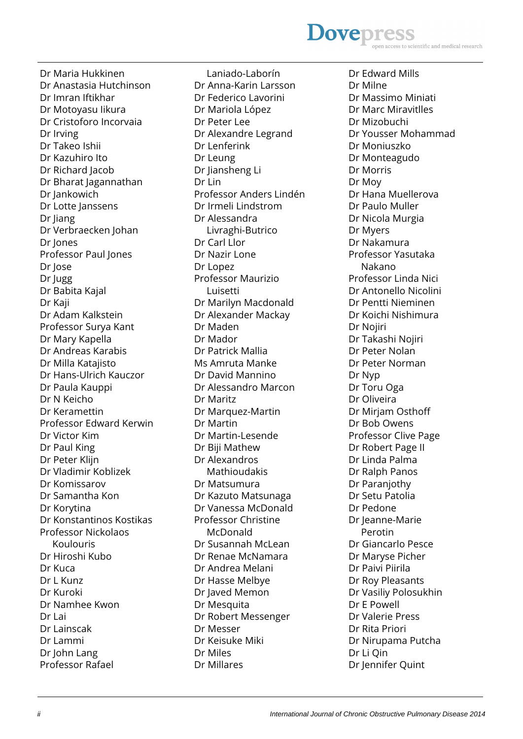## **Dovepres** scientific and medical research

Dr Maria Hukkinen Dr Anastasia Hutchinson Dr Imran Iftikhar Dr Motoyasu Iikura Dr Cristoforo Incorvaia Dr Irving Dr Takeo Ishii Dr Kazuhiro Ito Dr Richard Jacob Dr Bharat Jagannathan Dr Jankowich Dr Lotte Janssens Dr Jiang Dr Verbraecken Johan Dr Jones Professor Paul Jones Dr Jose Dr Jugg Dr Babita Kajal Dr Kaji Dr Adam Kalkstein Professor Surya Kant Dr Mary Kapella Dr Andreas Karabis Dr Milla Katajisto Dr Hans-Ulrich Kauczor Dr Paula Kauppi Dr N Keicho Dr Keramettin Professor Edward Kerwin Dr Victor Kim Dr Paul King Dr Peter Klijn Dr Vladimir Koblizek Dr Komissarov Dr Samantha Kon Dr Korytina Dr Konstantinos Kostikas Professor Nickolaos Koulouris Dr Hiroshi Kubo Dr Kuca Dr L Kunz Dr Kuroki Dr Namhee Kwon Dr Lai Dr Lainscak Dr Lammi Dr John Lang Professor Rafael

 Laniado-Laborín Dr Anna-Karin Larsson Dr Federico Lavorini Dr Mariola López Dr Peter Lee Dr Alexandre Legrand Dr Lenferink Dr Leung Dr Jiansheng Li Dr I in Professor Anders Lindén Dr Irmeli Lindstrom Dr Alessandra Livraghi-Butrico Dr Carl Llor Dr Nazir Lone Dr Lopez Professor Maurizio Luisetti Dr Marilyn Macdonald Dr Alexander Mackay Dr Maden Dr Mador Dr Patrick Mallia Ms Amruta Manke Dr David Mannino Dr Alessandro Marcon Dr Maritz Dr Marquez-Martin Dr Martin Dr Martin-Lesende Dr Biji Mathew Dr Alexandros Mathioudakis Dr Matsumura Dr Kazuto Matsunaga Dr Vanessa McDonald Professor Christine McDonald Dr Susannah McLean Dr Renae McNamara Dr Andrea Melani Dr Hasse Melbye Dr Javed Memon Dr Mesquita Dr Robert Messenger Dr Messer Dr Keisuke Miki Dr Miles Dr Millares

Dr Edward Mills Dr Milne Dr Massimo Miniati Dr Marc Miravitlles Dr Mizobuchi Dr Yousser Mohammad Dr Moniuszko Dr Monteagudo Dr Morris Dr Moy Dr Hana Muellerova Dr Paulo Muller Dr Nicola Murgia Dr Myers Dr Nakamura Professor Yasutaka Nakano Professor Linda Nici Dr Antonello Nicolini Dr Pentti Nieminen Dr Koichi Nishimura Dr Nojiri Dr Takashi Nojiri Dr Peter Nolan Dr Peter Norman Dr Nyp Dr Toru Oga Dr Oliveira Dr Mirjam Osthoff Dr Bob Owens Professor Clive Page Dr Robert Page II Dr Linda Palma Dr Ralph Panos Dr Paranjothy Dr Setu Patolia Dr Pedone Dr Jeanne-Marie Perotin Dr Giancarlo Pesce Dr Maryse Picher Dr Paivi Piirila Dr Roy Pleasants Dr Vasiliy Polosukhin Dr E Powell Dr Valerie Press Dr Rita Priori Dr Nirupama Putcha Dr Li Qin Dr Jennifer Quint